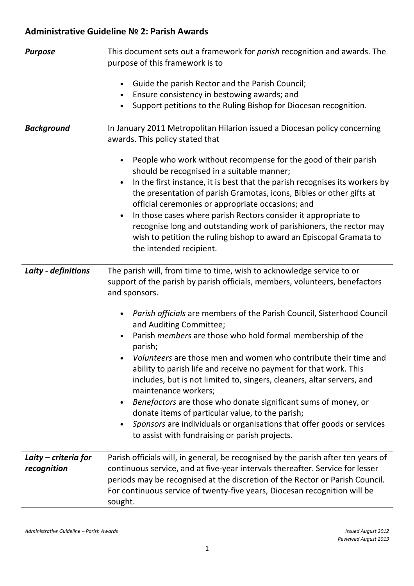| <b>Purpose</b>       | This document sets out a framework for parish recognition and awards. The                                                                                                                                             |
|----------------------|-----------------------------------------------------------------------------------------------------------------------------------------------------------------------------------------------------------------------|
|                      | purpose of this framework is to                                                                                                                                                                                       |
|                      | Guide the parish Rector and the Parish Council;<br>$\bullet$                                                                                                                                                          |
|                      | Ensure consistency in bestowing awards; and<br>$\bullet$                                                                                                                                                              |
|                      | Support petitions to the Ruling Bishop for Diocesan recognition.                                                                                                                                                      |
|                      |                                                                                                                                                                                                                       |
| <b>Background</b>    | In January 2011 Metropolitan Hilarion issued a Diocesan policy concerning<br>awards. This policy stated that                                                                                                          |
|                      | People who work without recompense for the good of their parish<br>should be recognised in a suitable manner;                                                                                                         |
|                      | In the first instance, it is best that the parish recognises its workers by<br>$\bullet$<br>the presentation of parish Gramotas, icons, Bibles or other gifts at<br>official ceremonies or appropriate occasions; and |
|                      | In those cases where parish Rectors consider it appropriate to<br>$\bullet$                                                                                                                                           |
|                      | recognise long and outstanding work of parishioners, the rector may                                                                                                                                                   |
|                      | wish to petition the ruling bishop to award an Episcopal Gramata to                                                                                                                                                   |
|                      | the intended recipient.                                                                                                                                                                                               |
|                      |                                                                                                                                                                                                                       |
| Laity - definitions  | The parish will, from time to time, wish to acknowledge service to or<br>support of the parish by parish officials, members, volunteers, benefactors<br>and sponsors.                                                 |
|                      | Parish officials are members of the Parish Council, Sisterhood Council<br>and Auditing Committee;                                                                                                                     |
|                      | Parish members are those who hold formal membership of the<br>$\bullet$<br>parish;                                                                                                                                    |
|                      | Volunteers are those men and women who contribute their time and<br>ability to parish life and receive no payment for that work. This                                                                                 |
|                      | includes, but is not limited to, singers, cleaners, altar servers, and<br>maintenance workers;                                                                                                                        |
|                      | Benefactors are those who donate significant sums of money, or                                                                                                                                                        |
|                      | donate items of particular value, to the parish;                                                                                                                                                                      |
|                      | Sponsors are individuals or organisations that offer goods or services                                                                                                                                                |
|                      | to assist with fundraising or parish projects.                                                                                                                                                                        |
| Laity – criteria for | Parish officials will, in general, be recognised by the parish after ten years of                                                                                                                                     |
| recognition          | continuous service, and at five-year intervals thereafter. Service for lesser                                                                                                                                         |
|                      | periods may be recognised at the discretion of the Rector or Parish Council.                                                                                                                                          |
|                      | For continuous service of twenty-five years, Diocesan recognition will be                                                                                                                                             |
|                      | sought.                                                                                                                                                                                                               |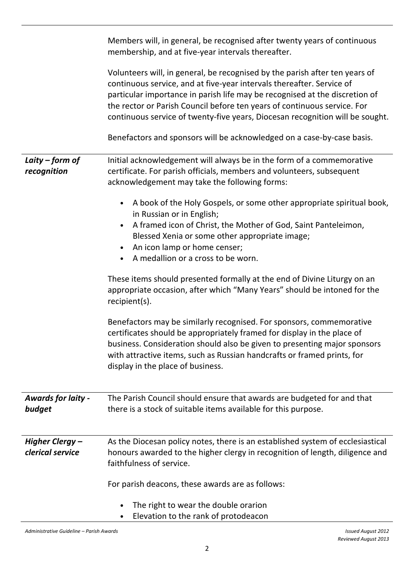|                                     | Members will, in general, be recognised after twenty years of continuous<br>membership, and at five-year intervals thereafter.                                                                                                                                                                                                                                                                                                                                             |
|-------------------------------------|----------------------------------------------------------------------------------------------------------------------------------------------------------------------------------------------------------------------------------------------------------------------------------------------------------------------------------------------------------------------------------------------------------------------------------------------------------------------------|
|                                     | Volunteers will, in general, be recognised by the parish after ten years of<br>continuous service, and at five-year intervals thereafter. Service of<br>particular importance in parish life may be recognised at the discretion of<br>the rector or Parish Council before ten years of continuous service. For<br>continuous service of twenty-five years, Diocesan recognition will be sought.<br>Benefactors and sponsors will be acknowledged on a case-by-case basis. |
| Laity – form of<br>recognition      | Initial acknowledgement will always be in the form of a commemorative<br>certificate. For parish officials, members and volunteers, subsequent<br>acknowledgement may take the following forms:                                                                                                                                                                                                                                                                            |
|                                     | A book of the Holy Gospels, or some other appropriate spiritual book,<br>$\bullet$<br>in Russian or in English;<br>A framed icon of Christ, the Mother of God, Saint Panteleimon,<br>Blessed Xenia or some other appropriate image;<br>An icon lamp or home censer;<br>$\bullet$<br>A medallion or a cross to be worn.<br>$\bullet$                                                                                                                                        |
|                                     | These items should presented formally at the end of Divine Liturgy on an<br>appropriate occasion, after which "Many Years" should be intoned for the<br>recipient(s).                                                                                                                                                                                                                                                                                                      |
|                                     | Benefactors may be similarly recognised. For sponsors, commemorative<br>certificates should be appropriately framed for display in the place of<br>business. Consideration should also be given to presenting major sponsors<br>with attractive items, such as Russian handcrafts or framed prints, for<br>display in the place of business.                                                                                                                               |
| <b>Awards for laity -</b><br>budget | The Parish Council should ensure that awards are budgeted for and that<br>there is a stock of suitable items available for this purpose.                                                                                                                                                                                                                                                                                                                                   |
| Higher Clergy-<br>clerical service  | As the Diocesan policy notes, there is an established system of ecclesiastical<br>honours awarded to the higher clergy in recognition of length, diligence and<br>faithfulness of service.                                                                                                                                                                                                                                                                                 |
|                                     | For parish deacons, these awards are as follows:                                                                                                                                                                                                                                                                                                                                                                                                                           |
|                                     | The right to wear the double orarion<br>Elevation to the rank of protodeacon<br>٠                                                                                                                                                                                                                                                                                                                                                                                          |

Administrative Guideline – Parish Awards Issued August 2012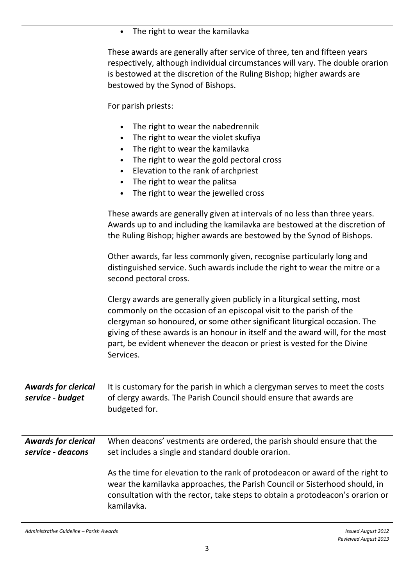• The right to wear the kamilavka

These awards are generally after service of three, ten and fifteen years respectively, although individual circumstances will vary. The double orarion is bestowed at the discretion of the Ruling Bishop; higher awards are bestowed by the Synod of Bishops.

For parish priests:

- The right to wear the nabedrennik
- The right to wear the violet skufiya
- The right to wear the kamilavka
- The right to wear the gold pectoral cross
- Elevation to the rank of archpriest
- The right to wear the palitsa
- The right to wear the jewelled cross

|                                                 | These awards are generally given at intervals of no less than three years.<br>Awards up to and including the kamilavka are bestowed at the discretion of<br>the Ruling Bishop; higher awards are bestowed by the Synod of Bishops.                                                                                                                                                                     |
|-------------------------------------------------|--------------------------------------------------------------------------------------------------------------------------------------------------------------------------------------------------------------------------------------------------------------------------------------------------------------------------------------------------------------------------------------------------------|
|                                                 | Other awards, far less commonly given, recognise particularly long and<br>distinguished service. Such awards include the right to wear the mitre or a<br>second pectoral cross.                                                                                                                                                                                                                        |
|                                                 | Clergy awards are generally given publicly in a liturgical setting, most<br>commonly on the occasion of an episcopal visit to the parish of the<br>clergyman so honoured, or some other significant liturgical occasion. The<br>giving of these awards is an honour in itself and the award will, for the most<br>part, be evident whenever the deacon or priest is vested for the Divine<br>Services. |
| <b>Awards for clerical</b><br>service - budget  | It is customary for the parish in which a clergyman serves to meet the costs<br>of clergy awards. The Parish Council should ensure that awards are<br>budgeted for.                                                                                                                                                                                                                                    |
| <b>Awards for clerical</b><br>service - deacons | When deacons' vestments are ordered, the parish should ensure that the<br>set includes a single and standard double orarion.                                                                                                                                                                                                                                                                           |
|                                                 | As the time for elevation to the rank of protodeacon or award of the right to<br>wear the kamilavka approaches, the Parish Council or Sisterhood should, in<br>consultation with the rector, take steps to obtain a protodeacon's orarion or<br>kamilavka.                                                                                                                                             |